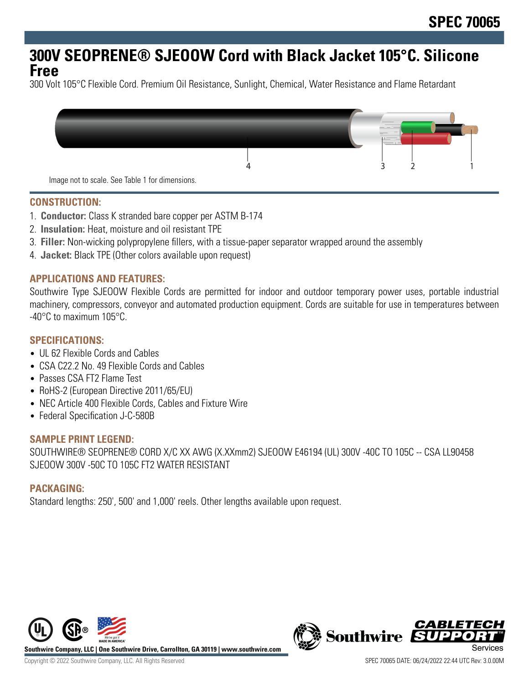# **300V SEOPRENE® SJEOOW Cord with Black Jacket 105°C. Silicone Free**

300 Volt 105°C Flexible Cord. Premium Oil Resistance, Sunlight, Chemical, Water Resistance and Flame Retardant



Image not to scale. See Table 1 for dimensions.

#### **CONSTRUCTION:**

- 1. **Conductor:** Class K stranded bare copper per ASTM B-174
- 2. **Insulation:** Heat, moisture and oil resistant TPE
- 3. **Filler:** Non-wicking polypropylene fillers, with a tissue-paper separator wrapped around the assembly
- 4. **Jacket:** Black TPE (Other colors available upon request)

#### **APPLICATIONS AND FEATURES:**

Southwire Type SJEOOW Flexible Cords are permitted for indoor and outdoor temporary power uses, portable industrial machinery, compressors, conveyor and automated production equipment. Cords are suitable for use in temperatures between -40°C to maximum 105°C.

#### **SPECIFICATIONS:**

- UL 62 Flexible Cords and Cables
- CSA C22.2 No. 49 Flexible Cords and Cables
- Passes CSA FT2 Flame Test
- RoHS-2 (European Directive 2011/65/EU)
- NEC Article 400 Flexible Cords, Cables and Fixture Wire
- Federal Specification J-C-580B

#### **SAMPLE PRINT LEGEND:**

SOUTHWIRE® SEOPRENE® CORD X/C XX AWG (X.XXmm2) SJEOOW E46194 (UL) 300V -40C TO 105C -- CSA LL90458 SJEOOW 300V -50C TO 105C FT2 WATER RESISTANT

#### **PACKAGING:**

Standard lengths: 250', 500' and 1,000' reels. Other lengths available upon request.



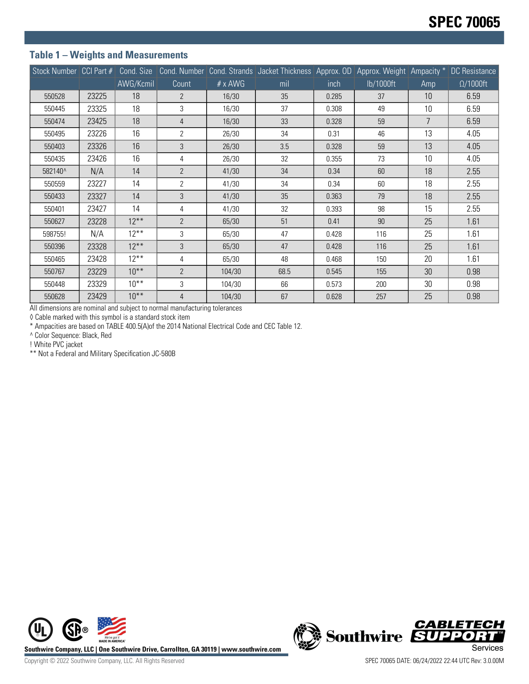### **Table 1 – Weights and Measurements**

|         |       |           |                |                | Stock Number CCI Part # Cond. Size Cond. Number Cond. Strands Jacket Thickness Approx. OD Approx. Weight Ampacity * DC Resistance |       |           |     |                  |
|---------|-------|-----------|----------------|----------------|-----------------------------------------------------------------------------------------------------------------------------------|-------|-----------|-----|------------------|
|         |       | AWG/Kcmil | Count          | $# \times$ AWG | mil                                                                                                                               | inch  | lb/1000ft | Amp | $\Omega/1000$ ft |
| 550528  | 23225 | 18        | $\overline{2}$ | 16/30          | 35                                                                                                                                | 0.285 | 37        | 10  | 6.59             |
| 550445  | 23325 | 18        | 3              | 16/30          | 37                                                                                                                                | 0.308 | 49        | 10  | 6.59             |
| 550474  | 23425 | 18        | $\overline{4}$ | 16/30          | 33                                                                                                                                | 0.328 | 59        | 7   | 6.59             |
| 550495  | 23226 | 16        | $\overline{2}$ | 26/30          | 34                                                                                                                                | 0.31  | 46        | 13  | 4.05             |
| 550403  | 23326 | 16        | 3              | 26/30          | 3.5                                                                                                                               | 0.328 | 59        | 13  | 4.05             |
| 550435  | 23426 | 16        | 4              | 26/30          | 32                                                                                                                                | 0.355 | 73        | 10  | 4.05             |
| 582140^ | N/A   | 14        | $\overline{2}$ | 41/30          | 34                                                                                                                                | 0.34  | 60        | 18  | 2.55             |
| 550559  | 23227 | 14        | $\overline{2}$ | 41/30          | 34                                                                                                                                | 0.34  | 60        | 18  | 2.55             |
| 550433  | 23327 | 14        | 3              | 41/30          | 35                                                                                                                                | 0.363 | 79        | 18  | 2.55             |
| 550401  | 23427 | 14        | 4              | 41/30          | 32                                                                                                                                | 0.393 | 98        | 15  | 2.55             |
| 550627  | 23228 | $12***$   | $\overline{2}$ | 65/30          | 51                                                                                                                                | 0.41  | 90        | 25  | 1.61             |
| 598755! | N/A   | $12***$   | 3              | 65/30          | 47                                                                                                                                | 0.428 | 116       | 25  | 1.61             |
| 550396  | 23328 | $12***$   | 3              | 65/30          | 47                                                                                                                                | 0.428 | 116       | 25  | 1.61             |
| 550465  | 23428 | $12***$   | 4              | 65/30          | 48                                                                                                                                | 0.468 | 150       | 20  | 1.61             |
| 550767  | 23229 | $10^{**}$ | $\overline{2}$ | 104/30         | 68.5                                                                                                                              | 0.545 | 155       | 30  | 0.98             |
| 550448  | 23329 | $10***$   | 3              | 104/30         | 66                                                                                                                                | 0.573 | 200       | 30  | 0.98             |
| 550628  | 23429 | $10^{**}$ | 4              | 104/30         | 67                                                                                                                                | 0.628 | 257       | 25  | 0.98             |

All dimensions are nominal and subject to normal manufacturing tolerances

◊ Cable marked with this symbol is a standard stock item

\* Ampacities are based on TABLE 400.5(A)of the 2014 National Electrical Code and CEC Table 12.

^ Color Sequence: Black, Red

! White PVC jacket

\*\* Not a Federal and Military Specification JC-580B